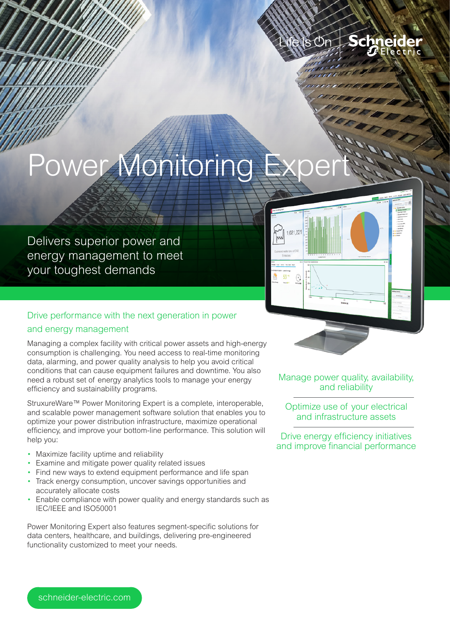# Power Monitoring

### Delivers superior power and energy management to meet your toughest demands

#### Drive performance with the next generation in power

#### and energy management

Managing a complex facility with critical power assets and high-energy consumption is challenging. You need access to real-time monitoring data, alarming, and power quality analysis to help you avoid critical conditions that can cause equipment failures and downtime. You also need a robust set of energy analytics tools to manage your energy efficiency and sustainability programs.

StruxureWare™ Power Monitoring Expert is a complete, interoperable, and scalable power management software solution that enables you to optimize your power distribution infrastructure, maximize operational efficiency, and improve your bottom-line performance. This solution will help you:

- Maximize facility uptime and reliability
- Examine and mitigate power quality related issues
- Find new ways to extend equipment performance and life span
- Track energy consumption, uncover savings opportunities and accurately allocate costs
- Enable compliance with power quality and energy standards such as IEC/IEEE and ISO50001

Power Monitoring Expert also features segment-specific solutions for data centers, healthcare, and buildings, delivering pre-engineered functionality customized to meet your needs.

Manage power quality, availability, and reliability

Optimize use of your electrical and infrastructure assets

Drive energy efficiency initiatives and improve financial performance



On

chneider